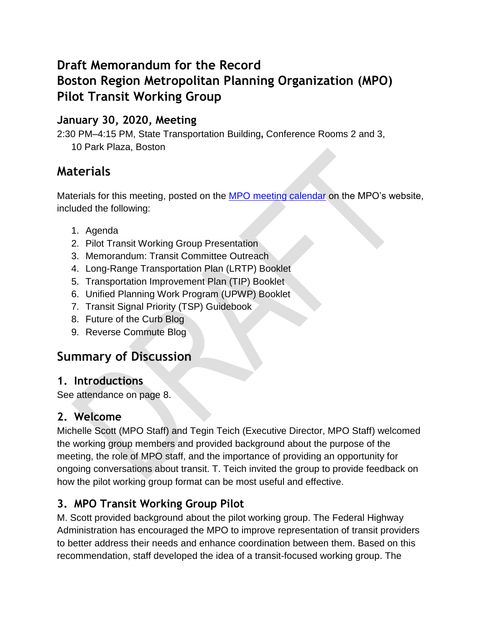# **Draft Memorandum for the Record Boston Region Metropolitan Planning Organization (MPO) Pilot Transit Working Group**

#### **January 30, 2020, Meeting**

2:30 PM–4:15 PM, State Transportation Building**,** Conference Rooms 2 and 3, 10 Park Plaza, Boston

## **Materials**

Materials for this meeting, posted on the [MPO meeting calendar](https://www.ctps.org/calendar/day/2020-01-30) on the MPO's website, included the following:

- 1. Agenda
- 2. Pilot Transit Working Group Presentation
- 3. Memorandum: Transit Committee Outreach
- 4. Long-Range Transportation Plan (LRTP) Booklet
- 5. Transportation Improvement Plan (TIP) Booklet
- 6. Unified Planning Work Program (UPWP) Booklet
- 7. Transit Signal Priority (TSP) Guidebook
- 8. Future of the Curb Blog
- 9. Reverse Commute Blog

## **Summary of Discussion**

#### **1. Introductions**

See attendance on page 8.

#### **2. Welcome**

Michelle Scott (MPO Staff) and Tegin Teich (Executive Director, MPO Staff) welcomed the working group members and provided background about the purpose of the meeting, the role of MPO staff, and the importance of providing an opportunity for ongoing conversations about transit. T. Teich invited the group to provide feedback on how the pilot working group format can be most useful and effective.

### **3. MPO Transit Working Group Pilot**

M. Scott provided background about the pilot working group. The Federal Highway Administration has encouraged the MPO to improve representation of transit providers to better address their needs and enhance coordination between them. Based on this recommendation, staff developed the idea of a transit-focused working group. The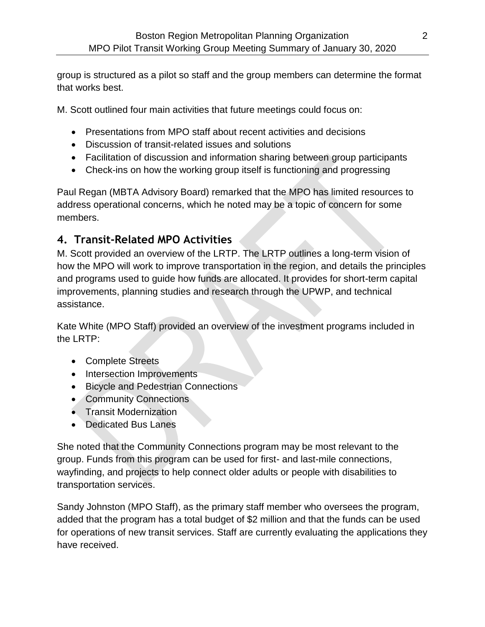group is structured as a pilot so staff and the group members can determine the format that works best.

M. Scott outlined four main activities that future meetings could focus on:

- Presentations from MPO staff about recent activities and decisions
- Discussion of transit-related issues and solutions
- Facilitation of discussion and information sharing between group participants
- Check-ins on how the working group itself is functioning and progressing

Paul Regan (MBTA Advisory Board) remarked that the MPO has limited resources to address operational concerns, which he noted may be a topic of concern for some members.

#### **4. Transit-Related MPO Activities**

M. Scott provided an overview of the LRTP. The LRTP outlines a long-term vision of how the MPO will work to improve transportation in the region, and details the principles and programs used to guide how funds are allocated. It provides for short-term capital improvements, planning studies and research through the UPWP, and technical assistance.

Kate White (MPO Staff) provided an overview of the investment programs included in the LRTP:

- Complete Streets
- Intersection Improvements
- Bicycle and Pedestrian Connections
- Community Connections
- Transit Modernization
- Dedicated Bus Lanes

She noted that the Community Connections program may be most relevant to the group. Funds from this program can be used for first- and last-mile connections, wayfinding, and projects to help connect older adults or people with disabilities to transportation services.

Sandy Johnston (MPO Staff), as the primary staff member who oversees the program, added that the program has a total budget of \$2 million and that the funds can be used for operations of new transit services. Staff are currently evaluating the applications they have received.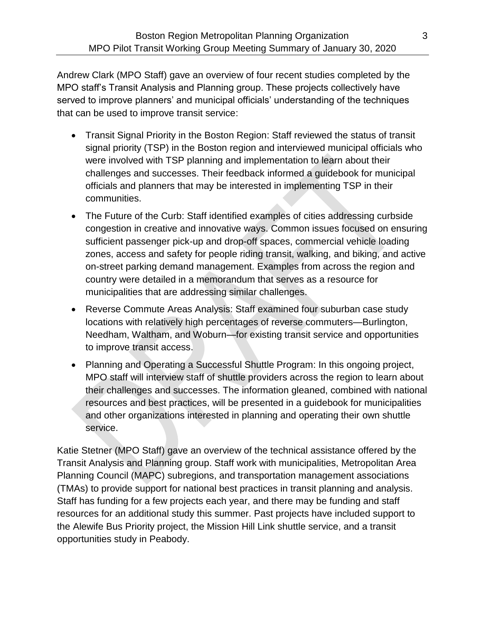Andrew Clark (MPO Staff) gave an overview of four recent studies completed by the MPO staff's Transit Analysis and Planning group. These projects collectively have served to improve planners' and municipal officials' understanding of the techniques that can be used to improve transit service:

- Transit Signal Priority in the Boston Region: Staff reviewed the status of transit signal priority (TSP) in the Boston region and interviewed municipal officials who were involved with TSP planning and implementation to learn about their challenges and successes. Their feedback informed a guidebook for municipal officials and planners that may be interested in implementing TSP in their communities.
- The Future of the Curb: Staff identified examples of cities addressing curbside congestion in creative and innovative ways. Common issues focused on ensuring sufficient passenger pick-up and drop-off spaces, commercial vehicle loading zones, access and safety for people riding transit, walking, and biking, and active on-street parking demand management. Examples from across the region and country were detailed in a memorandum that serves as a resource for municipalities that are addressing similar challenges.
- Reverse Commute Areas Analysis: Staff examined four suburban case study locations with relatively high percentages of reverse commuters—Burlington, Needham, Waltham, and Woburn—for existing transit service and opportunities to improve transit access.
- Planning and Operating a Successful Shuttle Program: In this ongoing project, MPO staff will interview staff of shuttle providers across the region to learn about their challenges and successes. The information gleaned, combined with national resources and best practices, will be presented in a guidebook for municipalities and other organizations interested in planning and operating their own shuttle service.

Katie Stetner (MPO Staff) gave an overview of the technical assistance offered by the Transit Analysis and Planning group. Staff work with municipalities, Metropolitan Area Planning Council (MAPC) subregions, and transportation management associations (TMAs) to provide support for national best practices in transit planning and analysis. Staff has funding for a few projects each year, and there may be funding and staff resources for an additional study this summer. Past projects have included support to the Alewife Bus Priority project, the Mission Hill Link shuttle service, and a transit opportunities study in Peabody.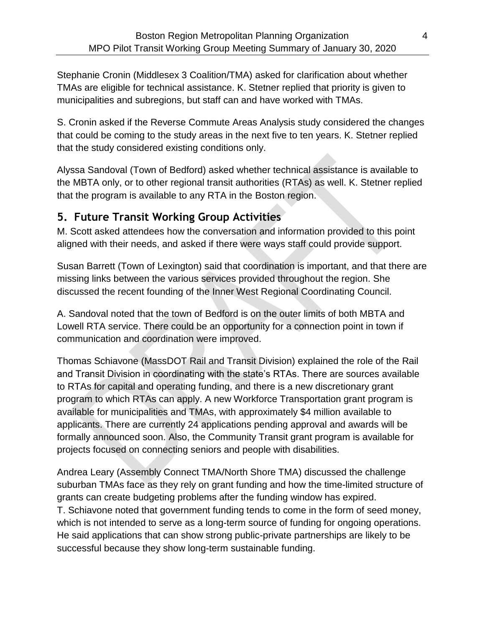Stephanie Cronin (Middlesex 3 Coalition/TMA) asked for clarification about whether TMAs are eligible for technical assistance. K. Stetner replied that priority is given to municipalities and subregions, but staff can and have worked with TMAs.

S. Cronin asked if the Reverse Commute Areas Analysis study considered the changes that could be coming to the study areas in the next five to ten years. K. Stetner replied that the study considered existing conditions only.

Alyssa Sandoval (Town of Bedford) asked whether technical assistance is available to the MBTA only, or to other regional transit authorities (RTAs) as well. K. Stetner replied that the program is available to any RTA in the Boston region.

#### **5. Future Transit Working Group Activities**

M. Scott asked attendees how the conversation and information provided to this point aligned with their needs, and asked if there were ways staff could provide support.

Susan Barrett (Town of Lexington) said that coordination is important, and that there are missing links between the various services provided throughout the region. She discussed the recent founding of the Inner West Regional Coordinating Council.

A. Sandoval noted that the town of Bedford is on the outer limits of both MBTA and Lowell RTA service. There could be an opportunity for a connection point in town if communication and coordination were improved.

Thomas Schiavone (MassDOT Rail and Transit Division) explained the role of the Rail and Transit Division in coordinating with the state's RTAs. There are sources available to RTAs for capital and operating funding, and there is a new discretionary grant program to which RTAs can apply. A new Workforce Transportation grant program is available for municipalities and TMAs, with approximately \$4 million available to applicants. There are currently 24 applications pending approval and awards will be formally announced soon. Also, the Community Transit grant program is available for projects focused on connecting seniors and people with disabilities.

Andrea Leary (Assembly Connect TMA/North Shore TMA) discussed the challenge suburban TMAs face as they rely on grant funding and how the time-limited structure of grants can create budgeting problems after the funding window has expired. T. Schiavone noted that government funding tends to come in the form of seed money, which is not intended to serve as a long-term source of funding for ongoing operations. He said applications that can show strong public-private partnerships are likely to be successful because they show long-term sustainable funding.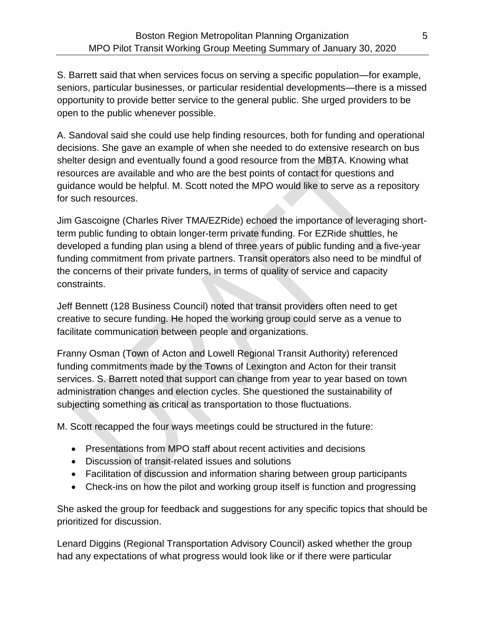S. Barrett said that when services focus on serving a specific population—for example, seniors, particular businesses, or particular residential developments—there is a missed opportunity to provide better service to the general public. She urged providers to be open to the public whenever possible.

A. Sandoval said she could use help finding resources, both for funding and operational decisions. She gave an example of when she needed to do extensive research on bus shelter design and eventually found a good resource from the MBTA. Knowing what resources are available and who are the best points of contact for questions and guidance would be helpful. M. Scott noted the MPO would like to serve as a repository for such resources.

Jim Gascoigne (Charles River TMA/EZRide) echoed the importance of leveraging shortterm public funding to obtain longer-term private funding. For EZRide shuttles, he developed a funding plan using a blend of three years of public funding and a five-year funding commitment from private partners. Transit operators also need to be mindful of the concerns of their private funders, in terms of quality of service and capacity constraints.

Jeff Bennett (128 Business Council) noted that transit providers often need to get creative to secure funding. He hoped the working group could serve as a venue to facilitate communication between people and organizations.

Franny Osman (Town of Acton and Lowell Regional Transit Authority) referenced funding commitments made by the Towns of Lexington and Acton for their transit services. S. Barrett noted that support can change from year to year based on town administration changes and election cycles. She questioned the sustainability of subjecting something as critical as transportation to those fluctuations.

M. Scott recapped the four ways meetings could be structured in the future:

- Presentations from MPO staff about recent activities and decisions
- Discussion of transit-related issues and solutions
- Facilitation of discussion and information sharing between group participants
- Check-ins on how the pilot and working group itself is function and progressing

She asked the group for feedback and suggestions for any specific topics that should be prioritized for discussion.

Lenard Diggins (Regional Transportation Advisory Council) asked whether the group had any expectations of what progress would look like or if there were particular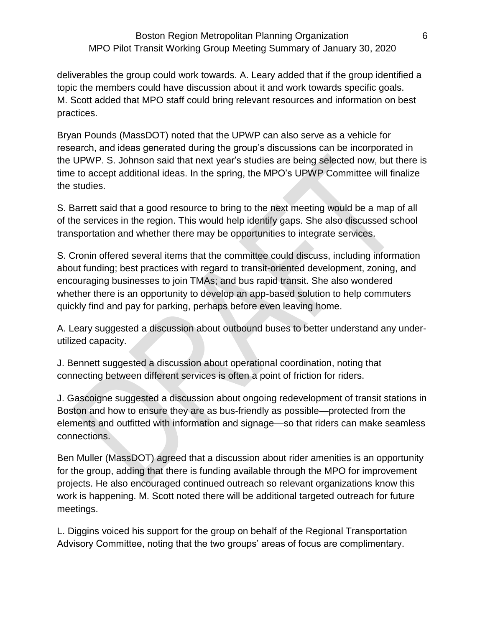deliverables the group could work towards. A. Leary added that if the group identified a topic the members could have discussion about it and work towards specific goals. M. Scott added that MPO staff could bring relevant resources and information on best practices.

Bryan Pounds (MassDOT) noted that the UPWP can also serve as a vehicle for research, and ideas generated during the group's discussions can be incorporated in the UPWP. S. Johnson said that next year's studies are being selected now, but there is time to accept additional ideas. In the spring, the MPO's UPWP Committee will finalize the studies.

S. Barrett said that a good resource to bring to the next meeting would be a map of all of the services in the region. This would help identify gaps. She also discussed school transportation and whether there may be opportunities to integrate services.

S. Cronin offered several items that the committee could discuss, including information about funding; best practices with regard to transit-oriented development, zoning, and encouraging businesses to join TMAs; and bus rapid transit. She also wondered whether there is an opportunity to develop an app-based solution to help commuters quickly find and pay for parking, perhaps before even leaving home.

A. Leary suggested a discussion about outbound buses to better understand any underutilized capacity.

J. Bennett suggested a discussion about operational coordination, noting that connecting between different services is often a point of friction for riders.

J. Gascoigne suggested a discussion about ongoing redevelopment of transit stations in Boston and how to ensure they are as bus-friendly as possible—protected from the elements and outfitted with information and signage—so that riders can make seamless connections.

Ben Muller (MassDOT) agreed that a discussion about rider amenities is an opportunity for the group, adding that there is funding available through the MPO for improvement projects. He also encouraged continued outreach so relevant organizations know this work is happening. M. Scott noted there will be additional targeted outreach for future meetings.

L. Diggins voiced his support for the group on behalf of the Regional Transportation Advisory Committee, noting that the two groups' areas of focus are complimentary.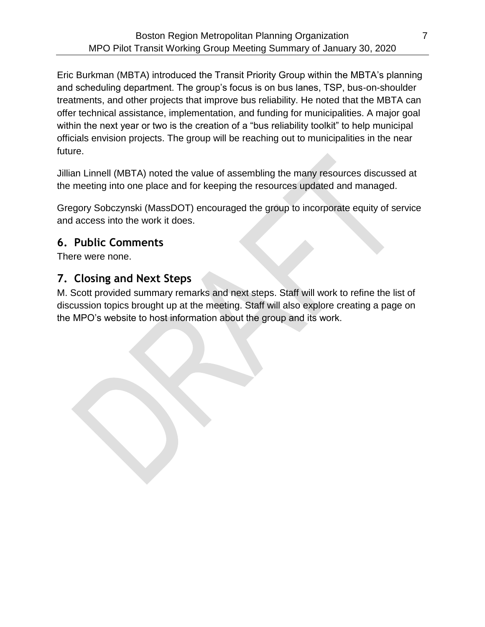Eric Burkman (MBTA) introduced the Transit Priority Group within the MBTA's planning and scheduling department. The group's focus is on bus lanes, TSP, bus-on-shoulder treatments, and other projects that improve bus reliability. He noted that the MBTA can offer technical assistance, implementation, and funding for municipalities. A major goal within the next year or two is the creation of a "bus reliability toolkit" to help municipal officials envision projects. The group will be reaching out to municipalities in the near future.

Jillian Linnell (MBTA) noted the value of assembling the many resources discussed at the meeting into one place and for keeping the resources updated and managed.

Gregory Sobczynski (MassDOT) encouraged the group to incorporate equity of service and access into the work it does.

#### **6. Public Comments**

There were none.

#### **7. Closing and Next Steps**

M. Scott provided summary remarks and next steps. Staff will work to refine the list of discussion topics brought up at the meeting. Staff will also explore creating a page on the MPO's website to host information about the group and its work.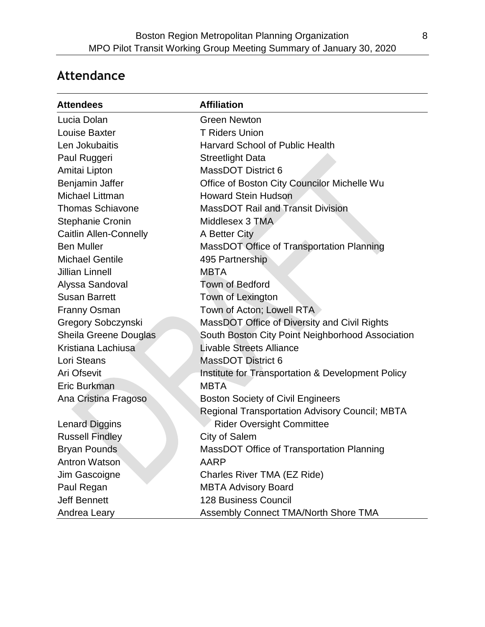# **Attendance**

| <b>Attendees</b>              | <b>Affiliation</b>                                    |
|-------------------------------|-------------------------------------------------------|
| Lucia Dolan                   | <b>Green Newton</b>                                   |
| Louise Baxter                 | <b>T Riders Union</b>                                 |
| Len Jokubaitis                | <b>Harvard School of Public Health</b>                |
| Paul Ruggeri                  | <b>Streetlight Data</b>                               |
| Amitai Lipton                 | <b>MassDOT District 6</b>                             |
| Benjamin Jaffer               | Office of Boston City Councilor Michelle Wu           |
| Michael Littman               | <b>Howard Stein Hudson</b>                            |
| <b>Thomas Schiavone</b>       | <b>MassDOT Rail and Transit Division</b>              |
| <b>Stephanie Cronin</b>       | Middlesex 3 TMA                                       |
| <b>Caitlin Allen-Connelly</b> | A Better City                                         |
| <b>Ben Muller</b>             | MassDOT Office of Transportation Planning             |
| <b>Michael Gentile</b>        | 495 Partnership                                       |
| <b>Jillian Linnell</b>        | <b>MBTA</b>                                           |
| Alyssa Sandoval               | <b>Town of Bedford</b>                                |
| <b>Susan Barrett</b>          | Town of Lexington                                     |
| <b>Franny Osman</b>           | Town of Acton; Lowell RTA                             |
| <b>Gregory Sobczynski</b>     | MassDOT Office of Diversity and Civil Rights          |
| Sheila Greene Douglas         | South Boston City Point Neighborhood Association      |
| Kristiana Lachiusa            | <b>Livable Streets Alliance</b>                       |
| Lori Steans                   | <b>MassDOT District 6</b>                             |
| Ari Ofsevit                   | Institute for Transportation & Development Policy     |
| Eric Burkman                  | <b>MBTA</b>                                           |
| Ana Cristina Fragoso          | <b>Boston Society of Civil Engineers</b>              |
|                               | <b>Regional Transportation Advisory Council; MBTA</b> |
| <b>Lenard Diggins</b>         | <b>Rider Oversight Committee</b>                      |
| <b>Russell Findley</b>        | City of Salem                                         |
| <b>Bryan Pounds</b>           | MassDOT Office of Transportation Planning             |
| <b>Antron Watson</b>          | AARP                                                  |
| Jim Gascoigne                 | Charles River TMA (EZ Ride)                           |
| Paul Regan                    | <b>MBTA Advisory Board</b>                            |
| <b>Jeff Bennett</b>           | <b>128 Business Council</b>                           |
| Andrea Leary                  | Assembly Connect TMA/North Shore TMA                  |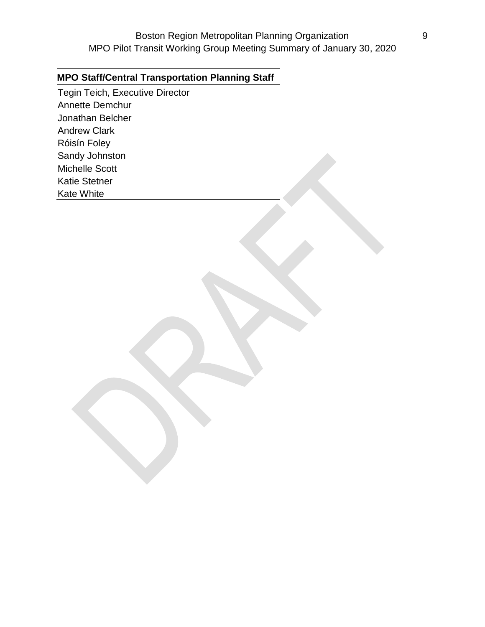#### **MPO Staff/Central Transportation Planning Staff**

Tegin Teich, Executive Director Annette Demchur Jonathan Belcher Andrew Clark Róisín Foley Sandy Johnston Michelle Scott Katie Stetner Kate White